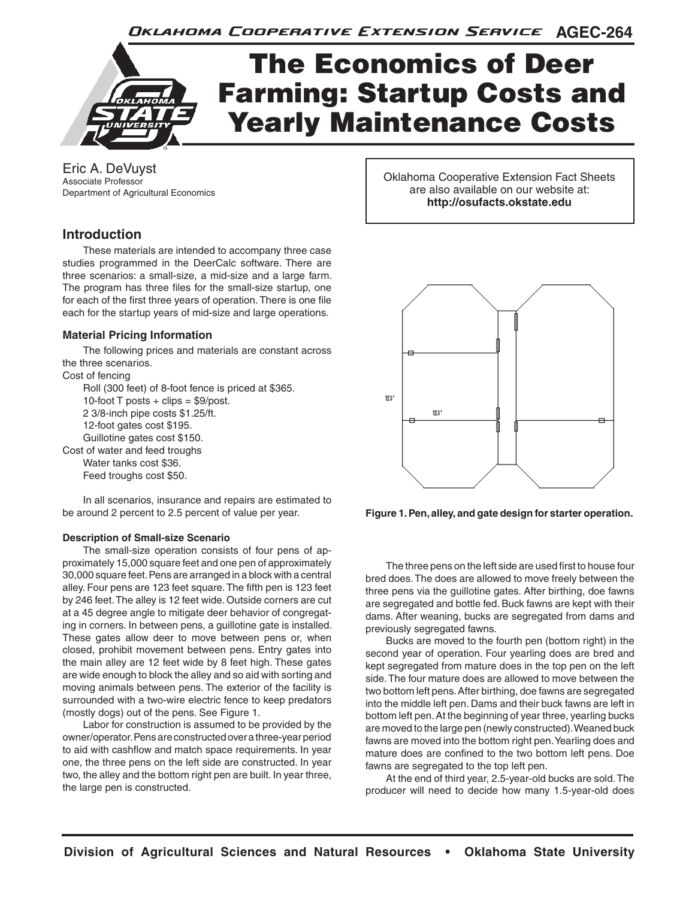**AGEC-264** Oklahoma Cooperative Extension Service



Eric A. DeVuyst Associate Professor Department of Agricultural Economics

# **Introduction**

These materials are intended to accompany three case studies programmed in the DeerCalc software. There are three scenarios: a small-size, a mid-size and a large farm. The program has three files for the small-size startup, one for each of the first three years of operation. There is one file each for the startup years of mid-size and large operations.

### **Material Pricing Information**

The following prices and materials are constant across the three scenarios.

Cost of fencing

Roll (300 feet) of 8-foot fence is priced at \$365. 10-foot  $T$  posts  $+$  clips  $=$  \$9/post. 2 3/8-inch pipe costs \$1.25/ft. 12-foot gates cost \$195. Guillotine gates cost \$150. Cost of water and feed troughs

Water tanks cost \$36. Feed troughs cost \$50.

In all scenarios, insurance and repairs are estimated to be around 2 percent to 2.5 percent of value per year.

#### **Description of Small-size Scenario**

The small-size operation consists of four pens of approximately 15,000 square feet and one pen of approximately 30,000 square feet. Pens are arranged in a block with a central alley. Four pens are 123 feet square. The fifth pen is 123 feet by 246 feet. The alley is 12 feet wide. Outside corners are cut at a 45 degree angle to mitigate deer behavior of congregating in corners. In between pens, a guillotine gate is installed. These gates allow deer to move between pens or, when closed, prohibit movement between pens. Entry gates into the main alley are 12 feet wide by 8 feet high. These gates are wide enough to block the alley and so aid with sorting and moving animals between pens. The exterior of the facility is surrounded with a two-wire electric fence to keep predators (mostly dogs) out of the pens. See Figure 1.

Labor for construction is assumed to be provided by the owner/operator. Pens are constructed over a three-year period to aid with cashflow and match space requirements. In year one, the three pens on the left side are constructed. In year two, the alley and the bottom right pen are built. In year three, the large pen is constructed.

Oklahoma Cooperative Extension Fact Sheets are also available on our website at: **http://osufacts.okstate.edu**



**Figure 1. Pen, alley, and gate design for starter operation.**

The three pens on the left side are used first to house four bred does. The does are allowed to move freely between the three pens via the guillotine gates. After birthing, doe fawns are segregated and bottle fed. Buck fawns are kept with their dams. After weaning, bucks are segregated from dams and previously segregated fawns.

Bucks are moved to the fourth pen (bottom right) in the second year of operation. Four yearling does are bred and kept segregated from mature does in the top pen on the left side. The four mature does are allowed to move between the two bottom left pens. After birthing, doe fawns are segregated into the middle left pen. Dams and their buck fawns are left in bottom left pen. At the beginning of year three, yearling bucks are moved to the large pen (newly constructed). Weaned buck fawns are moved into the bottom right pen. Yearling does and mature does are confined to the two bottom left pens. Doe fawns are segregated to the top left pen.

At the end of third year, 2.5-year-old bucks are sold. The producer will need to decide how many 1.5-year-old does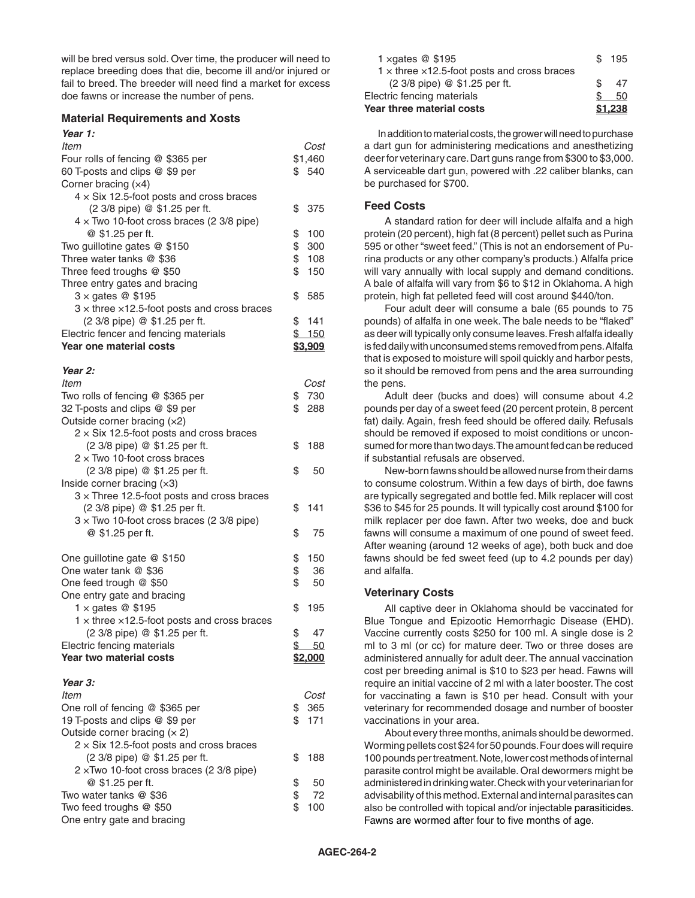will be bred versus sold. Over time, the producer will need to replace breeding does that die, become ill and/or injured or fail to breed. The breeder will need find a market for excess doe fawns or increase the number of pens.

#### **Material Requirements and Xosts**

# *Year 1:*

| ltem                                                                 | Cost                  |
|----------------------------------------------------------------------|-----------------------|
| Four rolls of fencing @ \$365 per                                    | \$1,460               |
| 60 T-posts and clips @ \$9 per                                       | \$540                 |
| Corner bracing (x4)                                                  |                       |
| $4 \times$ Six 12.5-foot posts and cross braces                      |                       |
| (2 3/8 pipe) @ \$1.25 per ft.                                        | \$<br>375             |
| $4 \times$ Two 10-foot cross braces (2 3/8 pipe)                     | \$<br>100             |
| @ \$1.25 per ft.<br>Two guillotine gates @ \$150                     | \$<br>300             |
| Three water tanks @ \$36                                             | \$<br>108             |
| Three feed troughs @ \$50                                            | \$<br>150             |
| Three entry gates and bracing                                        |                       |
| $3 \times$ gates @ \$195                                             | \$<br>585             |
| $3 \times$ three $\times$ 12.5-foot posts and cross braces           |                       |
| (2 3/8 pipe) @ \$1.25 per ft.                                        | \$<br>141             |
| Electric fencer and fencing materials                                | \$150                 |
| <b>Year one material costs</b>                                       | <u>\$3,909</u>        |
|                                                                      |                       |
| Year 2:                                                              |                       |
| ltem                                                                 | Cost                  |
| Two rolls of fencing @ \$365 per                                     | \$<br>730             |
| 32 T-posts and clips @ \$9 per                                       | \$<br>288             |
| Outside corner bracing (x2)                                          |                       |
| $2 \times$ Six 12.5-foot posts and cross braces                      |                       |
| (2 3/8 pipe) @ \$1.25 per ft.<br>$2 \times$ Two 10-foot cross braces | \$<br>188             |
| (2 3/8 pipe) @ \$1.25 per ft.                                        | \$<br>50              |
| Inside corner bracing $(x3)$                                         |                       |
| $3 \times$ Three 12.5-foot posts and cross braces                    |                       |
| (2 3/8 pipe) @ \$1.25 per ft.                                        | \$<br>141             |
| $3 \times$ Two 10-foot cross braces (2 3/8 pipe)                     |                       |
| @ \$1.25 per ft.                                                     | \$<br>75              |
|                                                                      |                       |
| One guillotine gate @ \$150                                          | \$<br>150             |
| One water tank @ \$36                                                | \$<br>36              |
| One feed trough @ \$50                                               | \$<br>50              |
| One entry gate and bracing                                           |                       |
| 1 $\times$ gates @ \$195                                             | \$<br>195             |
| $1 \times$ three $\times$ 12.5-foot posts and cross braces           |                       |
| (2 3/8 pipe) @ \$1.25 per ft.                                        | \$<br>47              |
| Electric fencing materials                                           | \$<br>$\overline{50}$ |
| Year two material costs                                              | \$2,000               |
| Year 3:                                                              |                       |
| ltem                                                                 | Cost                  |
| One roll of fencing @ \$365 per                                      | \$<br>365             |
| 19 T-posts and clips @ \$9 per                                       | \$<br>171             |
| Outside corner bracing $(x 2)$                                       |                       |
| $2 \times$ Six 12.5-foot posts and cross braces                      |                       |
| (2 3/8 pipe) @ \$1.25 per ft.                                        | \$<br>188             |
| $2 \times$ Two 10-foot cross braces (2 3/8 pipe)                     |                       |
| @ \$1.25 per ft.                                                     | \$<br>50              |
| Two water tanks @ \$36                                               | \$<br>72              |
| Two feed troughs @ \$50                                              | \$<br>100             |
| One entry gate and bracing                                           |                       |

| 1 $\times$ qates $@$ \$195                                 | \$195   |
|------------------------------------------------------------|---------|
| $1 \times$ three $\times$ 12.5-foot posts and cross braces |         |
| (2 3/8 pipe) @ \$1.25 per ft.                              | 47      |
| Electric fencing materials                                 | 50      |
| <b>Year three material costs</b>                           | \$1.238 |

In addition to material costs, the grower will need to purchase a dart gun for administering medications and anesthetizing deer for veterinary care. Dart guns range from \$300 to \$3,000. A serviceable dart gun, powered with .22 caliber blanks, can be purchased for \$700.

### **Feed Costs**

A standard ration for deer will include alfalfa and a high protein (20 percent), high fat (8 percent) pellet such as Purina 595 or other "sweet feed." (This is not an endorsement of Purina products or any other company's products.) Alfalfa price will vary annually with local supply and demand conditions. A bale of alfalfa will vary from \$6 to \$12 in Oklahoma. A high protein, high fat pelleted feed will cost around \$440/ton.

Four adult deer will consume a bale (65 pounds to 75 pounds) of alfalfa in one week. The bale needs to be "flaked" as deer will typically only consume leaves. Fresh alfalfa ideally is fed daily with unconsumed stems removed from pens. Alfalfa that is exposed to moisture will spoil quickly and harbor pests, so it should be removed from pens and the area surrounding the pens.

Adult deer (bucks and does) will consume about 4.2 pounds per day of a sweet feed (20 percent protein, 8 percent fat) daily. Again, fresh feed should be offered daily. Refusals should be removed if exposed to moist conditions or unconsumed for more than two days. The amount fed can be reduced if substantial refusals are observed.

New-born fawns should be allowed nurse from their dams to consume colostrum. Within a few days of birth, doe fawns are typically segregated and bottle fed. Milk replacer will cost \$36 to \$45 for 25 pounds. It will typically cost around \$100 for milk replacer per doe fawn. After two weeks, doe and buck fawns will consume a maximum of one pound of sweet feed. After weaning (around 12 weeks of age), both buck and doe fawns should be fed sweet feed (up to 4.2 pounds per day) and alfalfa.

## **Veterinary Costs**

All captive deer in Oklahoma should be vaccinated for Blue Tongue and Epizootic Hemorrhagic Disease (EHD). Vaccine currently costs \$250 for 100 ml. A single dose is 2 ml to 3 ml (or cc) for mature deer. Two or three doses are administered annually for adult deer. The annual vaccination cost per breeding animal is \$10 to \$23 per head. Fawns will require an initial vaccine of 2 ml with a later booster. The cost for vaccinating a fawn is \$10 per head. Consult with your veterinary for recommended dosage and number of booster vaccinations in your area.

About every three months, animals should be dewormed. Worming pellets cost \$24 for 50 pounds. Four does will require 100 pounds per treatment. Note, lower cost methods of internal parasite control might be available. Oral dewormers might be administered in drinking water. Check with your veterinarian for advisability of this method. External and internal parasites can also be controlled with topical and/or injectable parasiticides. Fawns are wormed after four to five months of age.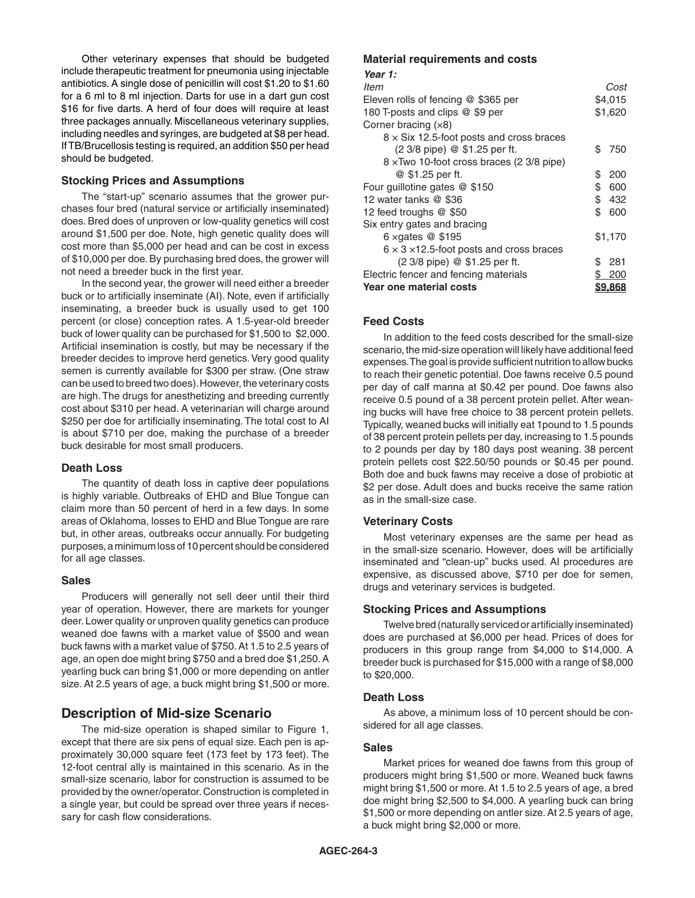Other veterinary expenses that should be budgeted include therapeutic treatment for pneumonia using injectable antibiotics. A single dose of penicillin will cost \$1.20 to \$1.60 for a 6 ml to 8 ml injection. Darts for use in a dart gun cost \$16 for five darts. A herd of four does will require at least three packages annually. Miscellaneous veterinary supplies, including needles and syringes, are budgeted at \$8 per head. If TB/Brucellosis testing is required, an addition \$50 per head should be budgeted.

### **Stocking Prices and Assumptions**

The "start-up" scenario assumes that the grower purchases four bred (natural service or artificially inseminated) does. Bred does of unproven or low-quality genetics will cost around \$1,500 per doe. Note, high genetic quality does will cost more than \$5,000 per head and can be cost in excess of \$10,000 per doe. By purchasing bred does, the grower will not need a breeder buck in the first year.

In the second year, the grower will need either a breeder buck or to artificially inseminate (AI). Note, even if artificially inseminating, a breeder buck is usually used to get 100 percent (or close) conception rates. A 1.5-year-old breeder buck of lower quality can be purchased for \$1,500 to \$2,000. Artificial insemination is costly, but may be necessary if the breeder decides to improve herd genetics. Very good quality semen is currently available for \$300 per straw. (One straw can be used to breed two does). However, the veterinary costs are high. The drugs for anesthetizing and breeding currently cost about \$310 per head. A veterinarian will charge around \$250 per doe for artificially inseminating. The total cost to AI is about \$710 per doe, making the purchase of a breeder buck desirable for most small producers.

### **Death Loss**

The quantity of death loss in captive deer populations is highly variable. Outbreaks of EHD and Blue Tongue can claim more than 50 percent of herd in a few days. In some areas of Oklahoma, losses to EHD and Blue Tongue are rare but, in other areas, outbreaks occur annually. For budgeting purposes, a minimum loss of 10 percent should be considered for all age classes.

#### **Sales**

Producers will generally not sell deer until their third year of operation. However, there are markets for younger deer. Lower quality or unproven quality genetics can produce weaned doe fawns with a market value of \$500 and wean buck fawns with a market value of \$750. At 1.5 to 2.5 years of age, an open doe might bring \$750 and a bred doe \$1,250. A yearling buck can bring \$1,000 or more depending on antler size. At 2.5 years of age, a buck might bring \$1,500 or more.

# **Description of Mid-size Scenario**

The mid-size operation is shaped similar to Figure 1, except that there are six pens of equal size. Each pen is approximately 30,000 square feet (173 feet by 173 feet). The 12-foot central ally is maintained in this scenario. As in the small-size scenario, labor for construction is assumed to be provided by the owner/operator. Construction is completed in a single year, but could be spread over three years if necessary for cash flow considerations.

## **Material requirements and costs**

| .                                                     |         |                |
|-------------------------------------------------------|---------|----------------|
| Year 1:                                               |         |                |
| ltem                                                  |         | Cost           |
| Eleven rolls of fencing @ \$365 per                   | \$4,015 |                |
| 180 T-posts and clips @ \$9 per                       | \$1,620 |                |
| Corner bracing $(x8)$                                 |         |                |
| $8 \times$ Six 12.5-foot posts and cross braces       |         |                |
| (2 3/8 pipe) @ \$1.25 per ft.                         | \$      | 750            |
| 8 xTwo 10-foot cross braces (2 3/8 pipe)              |         |                |
| @ \$1.25 per ft.                                      | \$      | 200            |
| Four guillotine gates @ \$150                         | \$      | 600            |
| 12 water tanks @ \$36                                 | \$      | 432            |
| 12 feed troughs @ \$50                                | \$      | 600            |
| Six entry gates and bracing                           |         |                |
| 6 $\times$ qates @ \$195                              |         | \$1,170        |
| $6 \times 3 \times 12.5$ -foot posts and cross braces |         |                |
| (2 3/8 pipe) @ \$1.25 per ft.                         | \$.     | 281            |
| Electric fencer and fencing materials                 |         | 200            |
| Year one material costs                               |         | <u>\$9.868</u> |

### **Feed Costs**

In addition to the feed costs described for the small-size scenario, the mid-size operation will likely have additional feed expenses. The goal is provide sufficient nutrition to allow bucks to reach their genetic potential. Doe fawns receive 0.5 pound per day of calf manna at \$0.42 per pound. Doe fawns also receive 0.5 pound of a 38 percent protein pellet. After weaning bucks will have free choice to 38 percent protein pellets. Typically, weaned bucks will initially eat 1pound to 1.5 pounds of 38 percent protein pellets per day, increasing to 1.5 pounds to 2 pounds per day by 180 days post weaning. 38 percent protein pellets cost \$22.50/50 pounds or \$0.45 per pound. Both doe and buck fawns may receive a dose of probiotic at \$2 per dose. Adult does and bucks receive the same ration as in the small-size case.

### **Veterinary Costs**

Most veterinary expenses are the same per head as in the small-size scenario. However, does will be artificially inseminated and "clean-up" bucks used. AI procedures are expensive, as discussed above, \$710 per doe for semen, drugs and veterinary services is budgeted.

### **Stocking Prices and Assumptions**

Twelve bred (naturally serviced or artificially inseminated) does are purchased at \$6,000 per head. Prices of does for producers in this group range from \$4,000 to \$14,000. A breeder buck is purchased for \$15,000 with a range of \$8,000 to \$20,000.

#### **Death Loss**

As above, a minimum loss of 10 percent should be considered for all age classes.

#### **Sales**

Market prices for weaned doe fawns from this group of producers might bring \$1,500 or more. Weaned buck fawns might bring \$1,500 or more. At 1.5 to 2.5 years of age, a bred doe might bring \$2,500 to \$4,000. A yearling buck can bring \$1,500 or more depending on antler size. At 2.5 years of age, a buck might bring \$2,000 or more.